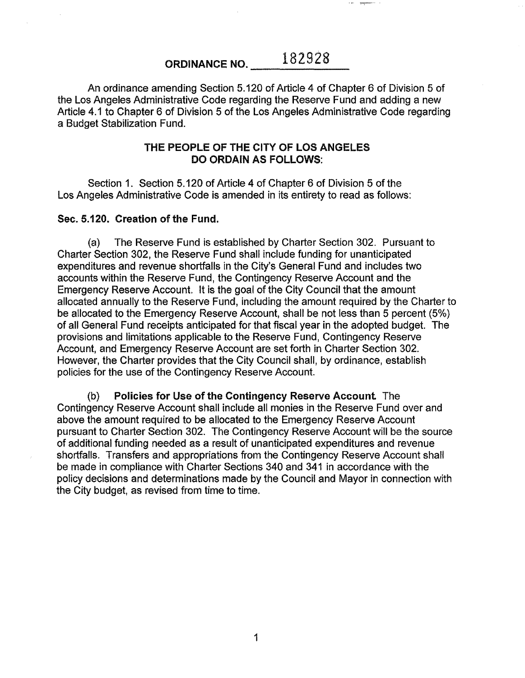# ORDINANCE NO. 182928

An ordinance amending Section 5.120 of Article 4 of Chapter 6 of Division 5 of the Los Angeles Administrative Code regarding the Reserve Fund and adding a new Article 4.1 to Chapter 6 of Division 5 of the Los Angeles Administrative Code regarding a Budget Stabilization Fund.

### THE PEOPLE OF THE CITY OF lOS ANGELES DO ORDAIN AS FOllOWS:

Section 1. Section 5.120 of Article 4 of Chapter 6 of Division 5 of the Los Angeles Administrative Code is amended in its entirety to read as follows:

#### Sec. 5.120. Creation of the Fund.

(a) The Reserve Fund is established by Charter Section 302. Pursuant to Charter Section 302, the Reserve Fund shall include funding for unanticipated expenditures and revenue shortfalls in the City's General Fund and includes two accounts within the Reserve Fund, the Contingency Reserve Account and the Emergency Reserve Account. It is the goal of the City Council that the amount allocated annually to the Reserve Fund, including the amount required by the Charter to be allocated to the Emergency Reserve Account, shall be not less than 5 percent (5%) of all General Fund receipts anticipated for that fiscal year in the adopted budget. The provisions and limitations applicable to the Reserve Fund, Contingency Reserve Account, and Emergency Reserve Account are set forth in Charter Section 302. However, the Charter provides that the City Council shall, by ordinance, establish policies for the use of the Contingency Reserve Account.

(b) Policies for Use of the Contingency Reserve Account The Contingency Reserve Account shall include all monies in the Reserve Fund over and above the amount required to be allocated to the Emergency Reserve Account pursuant to Charter Section 302. The Contingency Reserve Account will be the source of additional funding needed as a result of unanticipated expenditures and revenue shortfalls. Transfers and appropriations from the Contingency Reserve Account shall be made in compliance with Charter Sections 340 and 341 in accordance with the policy decisions and determinations made by the Council and Mayor in connection with the City budget, as revised from time to time.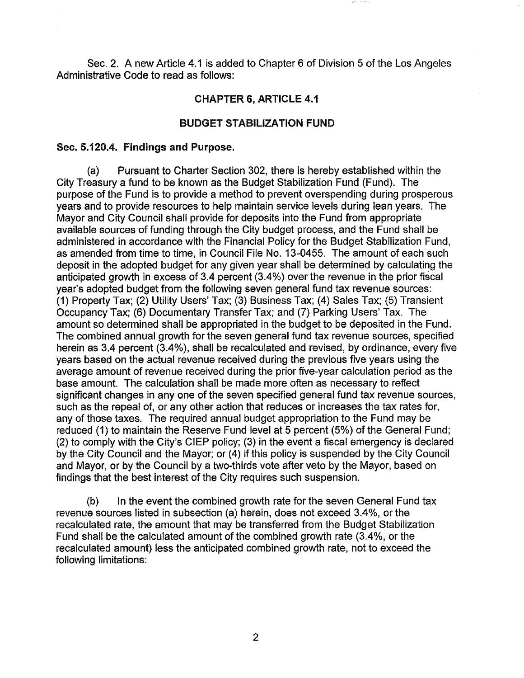Sec. 2. A new Article 4.1 is added to Chapter 6 of Division 5 of the Los Angeles Administrative Code to read as follows:

## CHAPTER 6, ARTICLE 4.1

#### BUDGET STABILIZATION FUND

#### Sec. 5.120.4. Findings and Purpose.

(a) Pursuant to Charter Section 302, there is hereby established within the City Treasury a fund to be known as the Budget Stabilization Fund (Fund). The purpose of the Fund is to provide a method to prevent overspending during prosperous years and to provide resources to help maintain service levels during lean years. The Mayor and City Council shall provide for deposits into the Fund from appropriate available sources of funding through the City budget process, and the Fund shall be administered in accordance with the Financial Policy for the Budget Stabilization Fund, as amended from time to time, in Council File No. 13-0455. The amount of each such deposit in the adopted budget for any given year shall be determined by calculating the anticipated growth in excess of 3.4 percent (3.4%) over the revenue in the prior fiscal year's adopted budget from the following seven general fund tax revenue sources: (1) Property Tax; (2) Utility Users' Tax; (3) Business Tax; (4) Sales Tax; (5) Transient Occupancy Tax; (6) Documentary Transfer Tax; and (7) Parking Users' Tax. The amount so determined shall be appropriated in the budget to be deposited in the Fund. The combined annual growth for the seven general fund tax revenue sources, specified herein as 3.4 percent  $(3.4\%)$ , shall be recalculated and revised, by ordinance, every five years based on the actual revenue received during the previous five years using the average amount of revenue received during the prior five-year calculation period as the base amount. The calculation shall be made more often as necessary to reflect significant changes in any one of the seven specified general fund tax revenue sources, such as the repeal of, or any other action that reduces or increases the tax rates for, any of those taxes. The required annual budget appropriation to the Fund may be reduced (1) to maintain the Reserve Fund level at 5 percent (5%) of the General Fund; (2) to comply with the City's CIEP policy; (3) in the event a fiscal emergency is declared by the City Council and the Mayor; or (4) if this policy is suspended by the City Council and Mayor, or by the Council by a two-thirds vote after veto by the Mayor, based on findings that the best interest of the City requires such suspension.

(b) In the event the combined growth rate for the seven General Fund tax revenue sources listed in subsection (a) herein, does not exceed 3.4%, or the recalculated rate, the amount that may be transferred from the Budget Stabilization Fund shall be the calculated amount of the combined growth rate (3.4%, or the recalculated amount) less the anticipated combined growth rate, not to exceed the following limitations: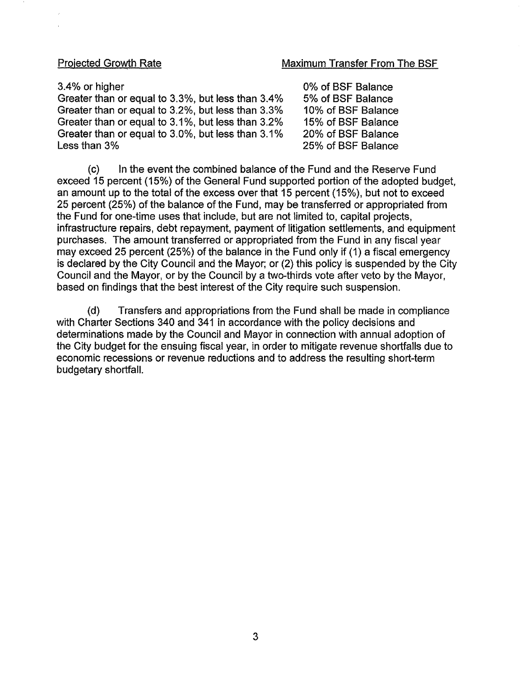#### Projected Growth Rate Maximum Transfer From The BSF

#### 3.4% or higher

Greater than or equal to 3.3%, but less than 3.4% Greater than or equal to 3.2%, but less than 3.3% Greater than or equal to 3.1%, but less than 3.2% Greater than or equal to 3.0%, but less than 3.1% Less than 3%

0% of BSF Balance 5% of BSF Balance 10% of BSF Balance 15% of BSF Balance 20% of BSF Balance 25% of BSF Balance

(c) In the event the combined balance of the Fund and the Reserve Fund exceed 15 percent (15%) of the General Fund supported portion of the adopted budget, an amount up to the total of the excess over that 15 percent (15%), but not to exceed 25 percent (25%) of the balance of the Fund, may be transferred or appropriated from the Fund for one-time uses that include, but are not limited to, capital projects, infrastructure repairs, debt repayment, payment of litigation settlements, and equipment purchases. The amount transferred or appropriated from the Fund in any fiscal year may exceed 25 percent (25%) of the balance in the Fund only if (1) a fiscal emergency is declared by the City Council and the Mayor; or (2) this policy is suspended by the City Council and the Mayor, or by the Council by a two-thirds vote after veto by the Mayor, based on findings that the best interest of the City require such suspension.

(d) Transfers and appropriations from the Fund shall be made in compliance with Charter Sections 340 and 341 in accordance with the policy decisions and determinations made by the Council and Mayor in connection with annual adoption of the City budget for the ensuing fiscal year, in order to mitigate revenue shortfalls due to economic recessions or revenue reductions and to address the resulting short-term budgetary shortfall.